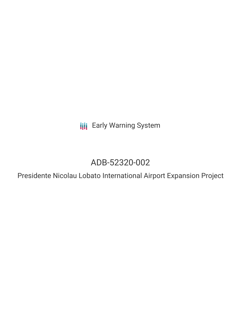**III** Early Warning System

# ADB-52320-002

Presidente Nicolau Lobato International Airport Expansion Project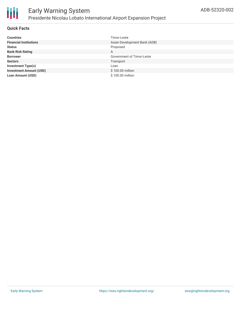

## **Quick Facts**

| <b>Countries</b>               | Timor-Leste                  |
|--------------------------------|------------------------------|
| <b>Financial Institutions</b>  | Asian Development Bank (ADB) |
| <b>Status</b>                  | Proposed                     |
| <b>Bank Risk Rating</b>        | A                            |
| <b>Borrower</b>                | Government of Timor-Leste    |
| <b>Sectors</b>                 | Transport                    |
| <b>Investment Type(s)</b>      | Loan                         |
| <b>Investment Amount (USD)</b> | \$100.00 million             |
| <b>Loan Amount (USD)</b>       | \$100.00 million             |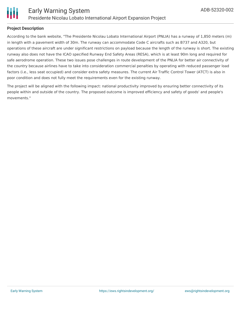

### **Project Description**

According to the bank website, "The Presidente Nicolau Lobato International Airport (PNLIA) has a runway of 1,850 meters (m) in length with a pavement width of 30m. The runway can accommodate Code C aircrafts such as B737 and A320, but operations of these aircraft are under significant restrictions on payload because the length of the runway is short. The existing runway also does not have the ICAO specified Runway End Safety Areas (RESA), which is at least 90m long and required for safe aerodrome operation. These two issues pose challenges in route development of the PNLIA for better air connectivity of the country because airlines have to take into consideration commercial penalties by operating with reduced passenger load factors (i.e., less seat occupied) and consider extra safety measures. The current Air Traffic Control Tower (ATCT) is also in poor condition and does not fully meet the requirements even for the existing runway.

The project will be aligned with the following impact: national productivity improved by ensuring better connectivity of its people within and outside of the country. The proposed outcome is improved efficiency and safety of goods' and people's movements."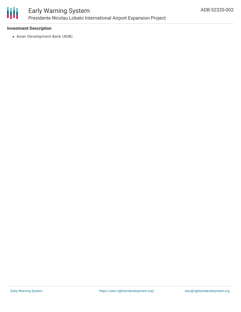

# Early Warning System Presidente Nicolau Lobato International Airport Expansion Project

#### **Investment Description**

Asian Development Bank (ADB)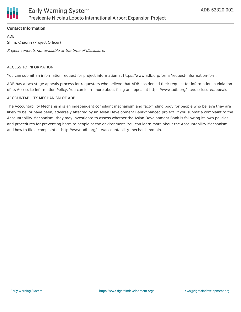

## **Contact Information**

ADB Shim, Chaorin (Project Officer) Project contacts not available at the time of disclosure.

#### ACCESS TO INFORMATION

You can submit an information request for project information at https://www.adb.org/forms/request-information-form

ADB has a two-stage appeals process for requesters who believe that ADB has denied their request for information in violation of its Access to Information Policy. You can learn more about filing an appeal at https://www.adb.org/site/disclosure/appeals

#### ACCOUNTABILITY MECHANISM OF ADB

The Accountability Mechanism is an independent complaint mechanism and fact-finding body for people who believe they are likely to be, or have been, adversely affected by an Asian Development Bank-financed project. If you submit a complaint to the Accountability Mechanism, they may investigate to assess whether the Asian Development Bank is following its own policies and procedures for preventing harm to people or the environment. You can learn more about the Accountability Mechanism and how to file a complaint at http://www.adb.org/site/accountability-mechanism/main.